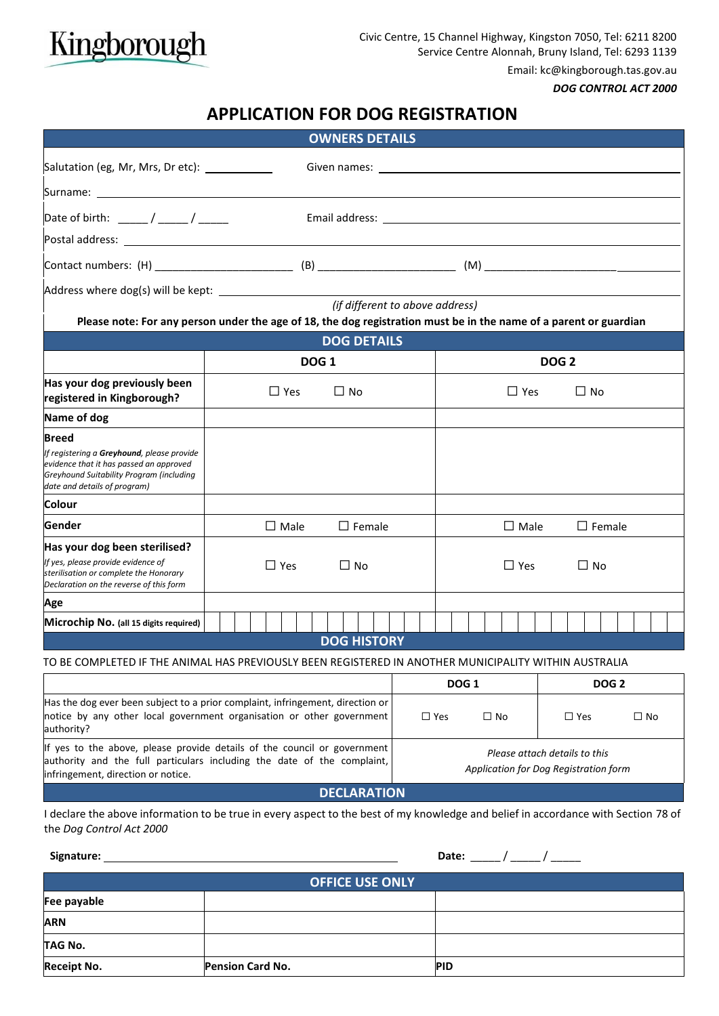

Email: kc@kingborough.tas.gov.au

*DOG CONTROL ACT 2000*

# **APPLICATION FOR DOG REGISTRATION**

|                                                                                                                                                                                                                               |                                   |                         |  |  |                         |  | <b>OWNERS DETAILS</b>                                                                                                                                                                                                         |                            |                         |  |  |  |  |  |  |  |  |  |  |  |  |  |
|-------------------------------------------------------------------------------------------------------------------------------------------------------------------------------------------------------------------------------|-----------------------------------|-------------------------|--|--|-------------------------|--|-------------------------------------------------------------------------------------------------------------------------------------------------------------------------------------------------------------------------------|----------------------------|-------------------------|--|--|--|--|--|--|--|--|--|--|--|--|--|
| Salutation (eg, Mr, Mrs, Dr etc): ____________                                                                                                                                                                                |                                   |                         |  |  |                         |  | Given names: Electric and the contract of the contract of the contract of the contract of the contract of the contract of the contract of the contract of the contract of the contract of the contract of the contract of the |                            |                         |  |  |  |  |  |  |  |  |  |  |  |  |  |
| Surname: will be a series of the series of the series of the series of the series of the series of the series                                                                                                                 |                                   |                         |  |  |                         |  |                                                                                                                                                                                                                               |                            |                         |  |  |  |  |  |  |  |  |  |  |  |  |  |
| Date of birth: $\frac{1}{\sqrt{1-\frac{1}{2}}}\sqrt{1-\frac{1}{2}}$                                                                                                                                                           |                                   |                         |  |  |                         |  |                                                                                                                                                                                                                               |                            |                         |  |  |  |  |  |  |  |  |  |  |  |  |  |
| Postal address: North and Second Contract and Second Contract of the Contract of the Contract of the Contract of the Contract of the Contract of the Contract of the Contract of the Contract of the Contract of the Contract |                                   |                         |  |  |                         |  |                                                                                                                                                                                                                               |                            |                         |  |  |  |  |  |  |  |  |  |  |  |  |  |
|                                                                                                                                                                                                                               |                                   |                         |  |  |                         |  |                                                                                                                                                                                                                               |                            |                         |  |  |  |  |  |  |  |  |  |  |  |  |  |
|                                                                                                                                                                                                                               |                                   |                         |  |  |                         |  |                                                                                                                                                                                                                               |                            |                         |  |  |  |  |  |  |  |  |  |  |  |  |  |
| (if different to above address)<br>Please note: For any person under the age of 18, the dog registration must be in the name of a parent or guardian                                                                          |                                   |                         |  |  |                         |  |                                                                                                                                                                                                                               |                            |                         |  |  |  |  |  |  |  |  |  |  |  |  |  |
|                                                                                                                                                                                                                               |                                   |                         |  |  |                         |  |                                                                                                                                                                                                                               |                            |                         |  |  |  |  |  |  |  |  |  |  |  |  |  |
|                                                                                                                                                                                                                               | <b>DOG DETAILS</b><br><b>DOG1</b> |                         |  |  |                         |  |                                                                                                                                                                                                                               |                            | DOG <sub>2</sub>        |  |  |  |  |  |  |  |  |  |  |  |  |  |
| Has your dog previously been<br>registered in Kingborough?                                                                                                                                                                    |                                   | $\Box$ Yes<br>$\Box$ No |  |  |                         |  |                                                                                                                                                                                                                               |                            | $\Box$ Yes<br>$\Box$ No |  |  |  |  |  |  |  |  |  |  |  |  |  |
| Name of dog                                                                                                                                                                                                                   |                                   |                         |  |  |                         |  |                                                                                                                                                                                                                               |                            |                         |  |  |  |  |  |  |  |  |  |  |  |  |  |
| Breed<br>If registering a Greyhound, please provide<br>evidence that it has passed an approved<br>Greyhound Suitability Program (including<br>date and details of program)                                                    |                                   |                         |  |  |                         |  |                                                                                                                                                                                                                               |                            |                         |  |  |  |  |  |  |  |  |  |  |  |  |  |
| Colour                                                                                                                                                                                                                        |                                   |                         |  |  |                         |  |                                                                                                                                                                                                                               |                            |                         |  |  |  |  |  |  |  |  |  |  |  |  |  |
| Gender                                                                                                                                                                                                                        | $\Box$ Female<br>$\square$ Male   |                         |  |  |                         |  | $\Box$ Male<br>$\Box$ Female                                                                                                                                                                                                  |                            |                         |  |  |  |  |  |  |  |  |  |  |  |  |  |
| Has your dog been sterilised?<br>If yes, please provide evidence of<br>sterilisation or complete the Honorary<br>Declaration on the reverse of this form                                                                      | $\Box$ Yes<br>$\Box$ No           |                         |  |  |                         |  |                                                                                                                                                                                                                               |                            | $\Box$ Yes<br>$\Box$ No |  |  |  |  |  |  |  |  |  |  |  |  |  |
| Age                                                                                                                                                                                                                           |                                   |                         |  |  |                         |  |                                                                                                                                                                                                                               |                            |                         |  |  |  |  |  |  |  |  |  |  |  |  |  |
| Microchip No. (all 15 digits required)                                                                                                                                                                                        |                                   |                         |  |  |                         |  |                                                                                                                                                                                                                               |                            |                         |  |  |  |  |  |  |  |  |  |  |  |  |  |
|                                                                                                                                                                                                                               |                                   |                         |  |  |                         |  | <b>DOG HISTORY</b>                                                                                                                                                                                                            |                            |                         |  |  |  |  |  |  |  |  |  |  |  |  |  |
| TO BE COMPLETED IF THE ANIMAL HAS PREVIOUSLY BEEN REGISTERED IN ANOTHER MUNICIPALITY WITHIN AUSTRALIA                                                                                                                         |                                   |                         |  |  |                         |  |                                                                                                                                                                                                                               |                            |                         |  |  |  |  |  |  |  |  |  |  |  |  |  |
|                                                                                                                                                                                                                               |                                   |                         |  |  | <b>DOG 1</b>            |  |                                                                                                                                                                                                                               |                            | <b>DOG 2</b>            |  |  |  |  |  |  |  |  |  |  |  |  |  |
| Has the dog ever been subject to a prior complaint, infringement, direction or<br>notice by any other local government organisation or other government<br>authority?                                                         |                                   |                         |  |  | $\Box$ Yes<br>$\Box$ No |  |                                                                                                                                                                                                                               | $\Box$ Yes<br>$\square$ No |                         |  |  |  |  |  |  |  |  |  |  |  |  |  |

If yes to the above, please provide details of the council or government authority and the full particulars including the date of the complaint, infringement, direction or notice. *Please attach details to this Application for Dog Registration form*

**DECLARATION**

I declare the above information to be true in every aspect to the best of my knowledge and belief in accordance with Section 78 of the *Dog Control Act 2000*

| Signature:             |                         | Date:      |  |  |  |  |  |  |  |
|------------------------|-------------------------|------------|--|--|--|--|--|--|--|
| <b>OFFICE USE ONLY</b> |                         |            |  |  |  |  |  |  |  |
| Fee payable            |                         |            |  |  |  |  |  |  |  |
| <b>ARN</b>             |                         |            |  |  |  |  |  |  |  |
| TAG No.                |                         |            |  |  |  |  |  |  |  |
| <b>Receipt No.</b>     | <b>Pension Card No.</b> | <b>PID</b> |  |  |  |  |  |  |  |